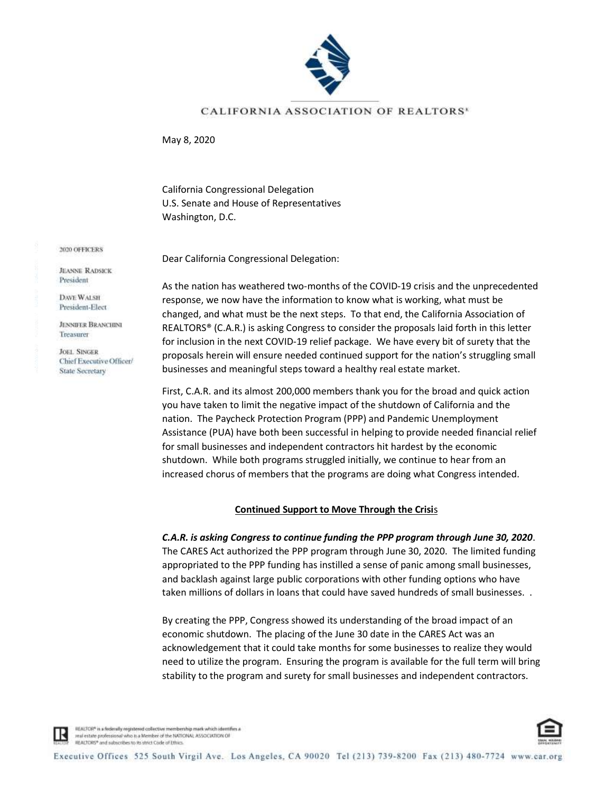

## CALIFORNIA ASSOCIATION OF REALTORS'

May 8, 2020

California Congressional Delegation U.S. Senate and House of Representatives Washington, D.C.

Dear California Congressional Delegation:

As the nation has weathered two-months of the COVID-19 crisis and the unprecedented response, we now have the information to know what is working, what must be changed, and what must be the next steps. To that end, the California Association of REALTORS® (C.A.R.) is asking Congress to consider the proposals laid forth in this letter for inclusion in the next COVID-19 relief package. We have every bit of surety that the proposals herein will ensure needed continued support for the nation's struggling small businesses and meaningful steps toward a healthy real estate market.

First, C.A.R. and its almost 200,000 members thank you for the broad and quick action you have taken to limit the negative impact of the shutdown of California and the nation. The Paycheck Protection Program (PPP) and Pandemic Unemployment Assistance (PUA) have both been successful in helping to provide needed financial relief for small businesses and independent contractors hit hardest by the economic shutdown. While both programs struggled initially, we continue to hear from an increased chorus of members that the programs are doing what Congress intended.

## **Continued Support to Move Through the Crisi**s

*C.A.R. is asking Congress to continue funding the PPP program through June 30, 2020*. The CARES Act authorized the PPP program through June 30, 2020. The limited funding appropriated to the PPP funding has instilled a sense of panic among small businesses, and backlash against large public corporations with other funding options who have taken millions of dollars in loans that could have saved hundreds of small businesses. .

By creating the PPP, Congress showed its understanding of the broad impact of an economic shutdown. The placing of the June 30 date in the CARES Act was an acknowledgement that it could take months for some businesses to realize they would need to utilize the program. Ensuring the program is available for the full term will bring stability to the program and surety for small businesses and independent contractors.

**JEANNE RADSICK** President

DAVE WALSH President-Elect

**JENNIFER BRANCHINI** Treasurer

**JOEL SINGER** Chief Executive Officer/ State Secretary

REALTOR® is a rederally registered collective membership mark which identifies a real estate professional who is a Member of the NATIONAL ASSOCIATION OF HEALTORS\* and subscribes to its strict Code of Ethics

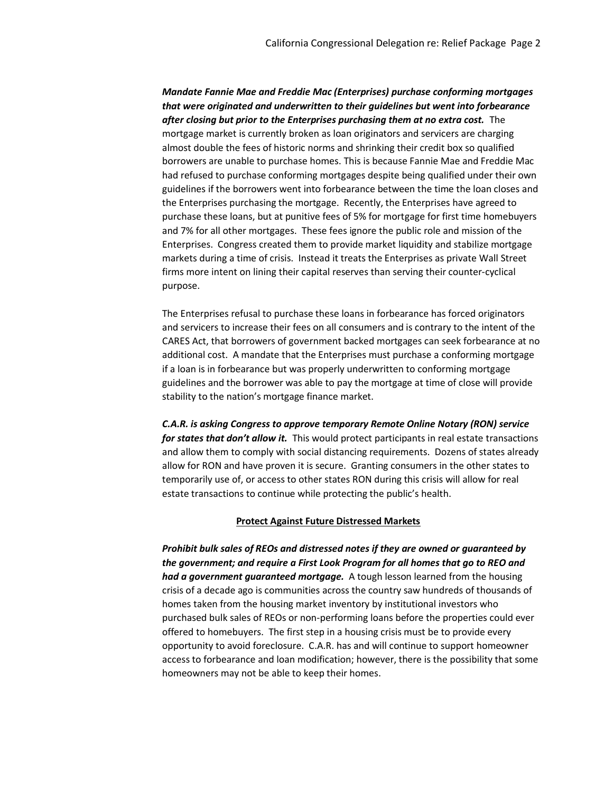*Mandate Fannie Mae and Freddie Mac (Enterprises) purchase conforming mortgages that were originated and underwritten to their guidelines but went into forbearance after closing but prior to the Enterprises purchasing them at no extra cost.* The mortgage market is currently broken as loan originators and servicers are charging almost double the fees of historic norms and shrinking their credit box so qualified borrowers are unable to purchase homes. This is because Fannie Mae and Freddie Mac had refused to purchase conforming mortgages despite being qualified under their own guidelines if the borrowers went into forbearance between the time the loan closes and the Enterprises purchasing the mortgage. Recently, the Enterprises have agreed to purchase these loans, but at punitive fees of 5% for mortgage for first time homebuyers and 7% for all other mortgages. These fees ignore the public role and mission of the Enterprises. Congress created them to provide market liquidity and stabilize mortgage markets during a time of crisis. Instead it treats the Enterprises as private Wall Street firms more intent on lining their capital reserves than serving their counter-cyclical purpose.

The Enterprises refusal to purchase these loans in forbearance has forced originators and servicers to increase their fees on all consumers and is contrary to the intent of the CARES Act, that borrowers of government backed mortgages can seek forbearance at no additional cost. A mandate that the Enterprises must purchase a conforming mortgage if a loan is in forbearance but was properly underwritten to conforming mortgage guidelines and the borrower was able to pay the mortgage at time of close will provide stability to the nation's mortgage finance market.

*C.A.R. is asking Congress to approve temporary Remote Online Notary (RON) service for states that don't allow it.* This would protect participants in real estate transactions and allow them to comply with social distancing requirements. Dozens of states already allow for RON and have proven it is secure. Granting consumers in the other states to temporarily use of, or access to other states RON during this crisis will allow for real estate transactions to continue while protecting the public's health.

## **Protect Against Future Distressed Markets**

*Prohibit bulk sales of REOs and distressed notes if they are owned or guaranteed by the government; and require a First Look Program for all homes that go to REO and had a government guaranteed mortgage.* A tough lesson learned from the housing crisis of a decade ago is communities across the country saw hundreds of thousands of homes taken from the housing market inventory by institutional investors who purchased bulk sales of REOs or non-performing loans before the properties could ever offered to homebuyers. The first step in a housing crisis must be to provide every opportunity to avoid foreclosure. C.A.R. has and will continue to support homeowner access to forbearance and loan modification; however, there is the possibility that some homeowners may not be able to keep their homes.